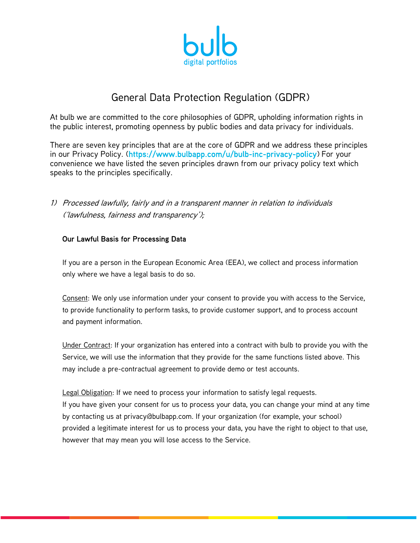

# General Data Protection Regulation (GDPR)

At bulb we are committed to the core philosophies of GDPR, upholding information rights in the public interest, promoting openness by public bodies and data privacy for individuals.

There are seven key principles that are at the core of GDPR and we address these principles in our Privacy Policy. (https://www.bulbapp.com/u/bulb-inc-privacy-policy) For your convenience we have listed the seven principles drawn from our privacy policy text which speaks to the principles specifically.

1) Processed lawfully, fairly and in a transparent manner in relation to individuals ('lawfulness, fairness and transparency');

# Our Lawful Basis for Processing Data

If you are a person in the European Economic Area (EEA), we collect and process information only where we have a legal basis to do so.

Consent: We only use information under your consent to provide you with access to the Service, to provide functionality to perform tasks, to provide customer support, and to process account and payment information.

Under Contract: If your organization has entered into a contract with bulb to provide you with the Service, we will use the information that they provide for the same functions listed above. This may include a pre-contractual agreement to provide demo or test accounts.

Legal Obligation: If we need to process your information to satisfy legal requests. If you have given your consent for us to process your data, you can change your mind at any time by contacting us at privacy@bulbapp.com. If your organization (for example, your school) provided a legitimate interest for us to process your data, you have the right to object to that use, however that may mean you will lose access to the Service.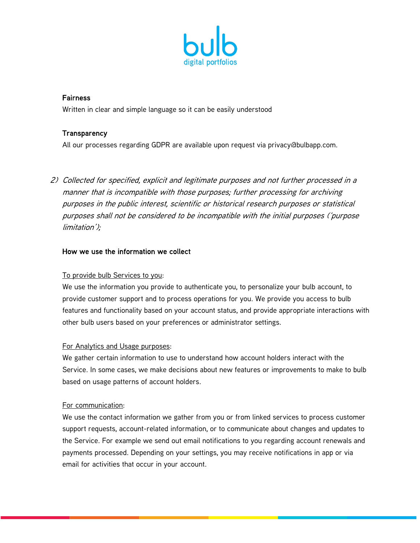

# **Fairness**

Written in clear and simple language so it can be easily understood

# **Transparency**

All our processes regarding GDPR are available upon request via privacy@bulbapp.com.

2) Collected for specified, explicit and legitimate purposes and not further processed in a manner that is incompatible with those purposes; further processing for archiving purposes in the public interest, scientific or historical research purposes or statistical purposes shall not be considered to be incompatible with the initial purposes ('purpose limitation');

### How we use the information we collect

### To provide bulb Services to you:

We use the information you provide to authenticate you, to personalize your bulb account, to provide customer support and to process operations for you. We provide you access to bulb features and functionality based on your account status, and provide appropriate interactions with other bulb users based on your preferences or administrator settings.

### For Analytics and Usage purposes:

We gather certain information to use to understand how account holders interact with the Service. In some cases, we make decisions about new features or improvements to make to bulb based on usage patterns of account holders.

### For communication:

We use the contact information we gather from you or from linked services to process customer support requests, account-related information, or to communicate about changes and updates to the Service. For example we send out email notifications to you regarding account renewals and payments processed. Depending on your settings, you may receive notifications in app or via email for activities that occur in your account.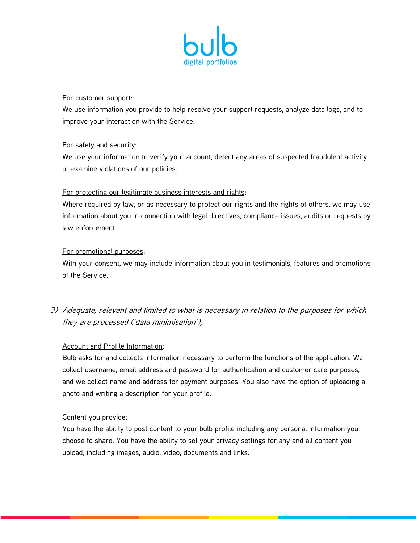

### For customer support:

We use information you provide to help resolve your support requests, analyze data logs, and to improve your interaction with the Service.

# For safety and security:

We use your information to verify your account, detect any areas of suspected fraudulent activity or examine violations of our policies.

# For protecting our legitimate business interests and rights:

Where required by law, or as necessary to protect our rights and the rights of others, we may use information about you in connection with legal directives, compliance issues, audits or requests by law enforcement.

# For promotional purposes:

With your consent, we may include information about you in testimonials, features and promotions of the Service.

# 3) Adequate, relevant and limited to what is necessary in relation to the purposes for which they are processed ('data minimisation');

### Account and Profile Information:

Bulb asks for and collects information necessary to perform the functions of the application. We collect username, email address and password for authentication and customer care purposes, and we collect name and address for payment purposes. You also have the option of uploading a photo and writing a description for your profile.

### Content you provide:

You have the ability to post content to your bulb profile including any personal information you choose to share. You have the ability to set your privacy settings for any and all content you upload, including images, audio, video, documents and links.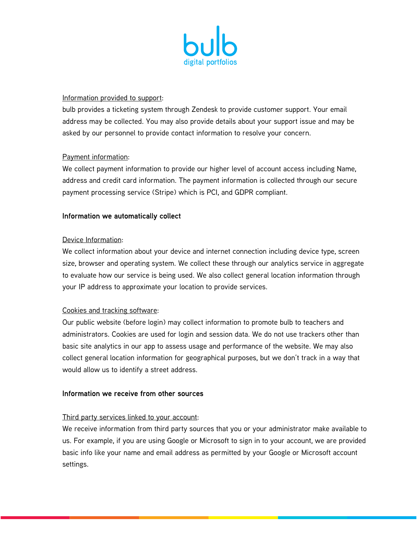

#### Information provided to support:

bulb provides a ticketing system through Zendesk to provide customer support. Your email address may be collected. You may also provide details about your support issue and may be asked by our personnel to provide contact information to resolve your concern.

#### Payment information:

We collect payment information to provide our higher level of account access including Name, address and credit card information. The payment information is collected through our secure payment processing service (Stripe) which is PCI, and GDPR compliant.

#### Information we automatically collect

#### Device Information:

We collect information about your device and internet connection including device type, screen size, browser and operating system. We collect these through our analytics service in aggregate to evaluate how our service is being used. We also collect general location information through your IP address to approximate your location to provide services.

### Cookies and tracking software:

Our public website (before login) may collect information to promote bulb to teachers and administrators. Cookies are used for login and session data. We do not use trackers other than basic site analytics in our app to assess usage and performance of the website. We may also collect general location information for geographical purposes, but we don't track in a way that would allow us to identify a street address.

#### Information we receive from other sources

#### Third party services linked to your account:

We receive information from third party sources that you or your administrator make available to us. For example, if you are using Google or Microsoft to sign in to your account, we are provided basic info like your name and email address as permitted by your Google or Microsoft account settings.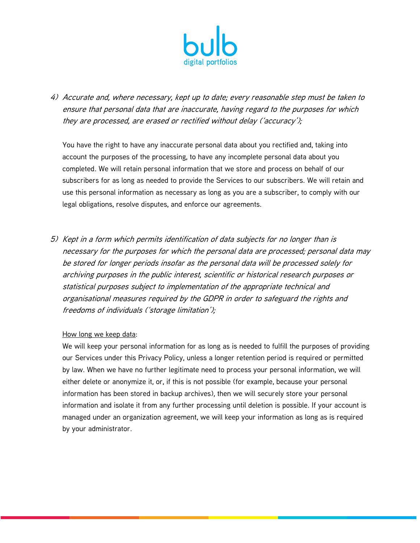

4) Accurate and, where necessary, kept up to date; every reasonable step must be taken to ensure that personal data that are inaccurate, having regard to the purposes for which they are processed, are erased or rectified without delay ('accuracy');

You have the right to have any inaccurate personal data about you rectified and, taking into account the purposes of the processing, to have any incomplete personal data about you completed. We will retain personal information that we store and process on behalf of our subscribers for as long as needed to provide the Services to our subscribers. We will retain and use this personal information as necessary as long as you are a subscriber, to comply with our legal obligations, resolve disputes, and enforce our agreements.

5) Kept in a form which permits identification of data subjects for no longer than is necessary for the purposes for which the personal data are processed; personal data may be stored for longer periods insofar as the personal data will be processed solely for archiving purposes in the public interest, scientific or historical research purposes or statistical purposes subject to implementation of the appropriate technical and organisational measures required by the GDPR in order to safeguard the rights and freedoms of individuals ('storage limitation');

#### How long we keep data:

We will keep your personal information for as long as is needed to fulfill the purposes of providing our Services under this Privacy Policy, unless a longer retention period is required or permitted by law. When we have no further legitimate need to process your personal information, we will either delete or anonymize it, or, if this is not possible (for example, because your personal information has been stored in backup archives), then we will securely store your personal information and isolate it from any further processing until deletion is possible. If your account is managed under an organization agreement, we will keep your information as long as is required by your administrator.